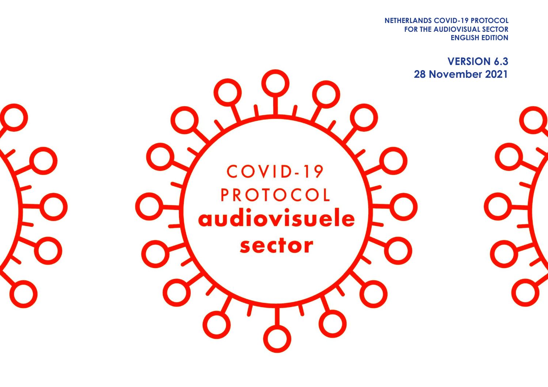**FOR THE AUDIOVISUAL SECTOR NETHERLANDS COVID-19 PROTOCOL ENGLISH EDITION**

> **VERSION 6.3 28 November 2021**

COVID-19 **PROTOCOL** audiovisuele sector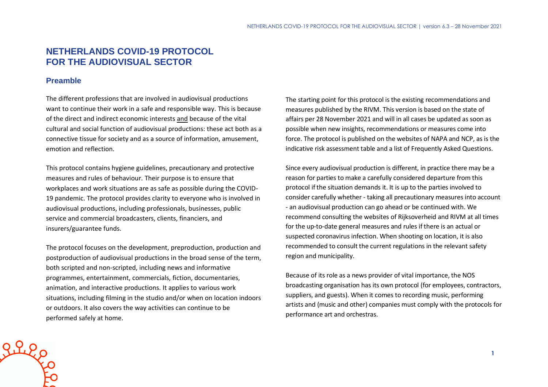# **NETHERLANDS COVID-19 PROTOCOL FOR THE AUDIOVISUAL SECTOR**

#### **Preamble**

The different professions that are involved in audiovisual productions want to continue their work in a safe and responsible way. This is because of the direct and indirect economic interests and because of the vital cultural and social function of audiovisual productions: these act both as a connective tissue for society and as a source of information, amusement, emotion and reflection.

This protocol contains hygiene guidelines, precautionary and protective measures and rules of behaviour. Their purpose is to ensure that workplaces and work situations are as safe as possible during the COVID-19 pandemic. The protocol provides clarity to everyone who is involved in audiovisual productions, including professionals, businesses, public service and commercial broadcasters, clients, financiers, and insurers/guarantee funds.

The protocol focuses on the development, preproduction, production and postproduction of audiovisual productions in the broad sense of the term, both scripted and non-scripted, including news and informative programmes, entertainment, commercials, fiction, documentaries, animation, and interactive productions. It applies to various work situations, including filming in the studio and/or when on location indoors or outdoors. It also covers the way activities can continue to be performed safely at home.

The starting point for this protocol is the existing recommendations and measures published by the RIVM. This version is based on the state of affairs per 28 November 2021 and will in all cases be updated as soon as possible when new insights, recommendations or measures come into force. The protocol is published on the websites of NAPA and NCP, as is the indicative risk assessment table and a list of Frequently Asked Questions.

Since every audiovisual production is different, in practice there may be a reason for parties to make a carefully considered departure from this protocol if the situation demands it. It is up to the parties involved to consider carefully whether - taking all precautionary measures into account - an audiovisual production can go ahead or be continued with. We recommend consulting the websites of Rijksoverheid and RIVM at all times for the up-to-date general measures and rules if there is an actual or suspected coronavirus infection. When shooting on location, it is also recommended to consult the current regulations in the relevant safety region and municipality.

Because of its role as a news provider of vital importance, the NOS broadcasting organisation has its own protocol (for employees, contractors, suppliers, and guests). When it comes to recording music, performing artists and (music and other) companies must comply with the protocols for performance art and orchestras.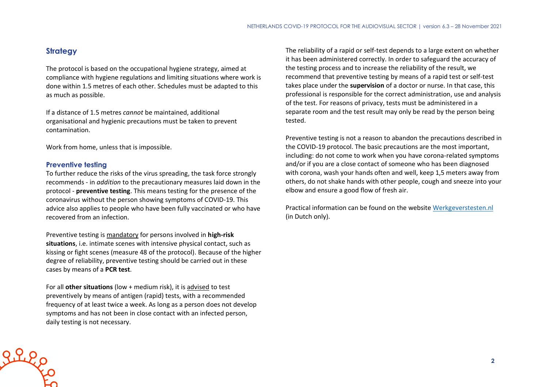# **Strategy**

The protocol is based on the occupational hygiene strategy, aimed at compliance with hygiene regulations and limiting situations where work is done within 1.5 metres of each other. Schedules must be adapted to this as much as possible.

If a distance of 1.5 metres *cannot* be maintained, additional organisational and hygienic precautions must be taken to prevent contamination.

Work from home, unless that is impossible.

#### **Preventive testing**

Riles

To further reduce the risks of the virus spreading, the task force strongly recommends - in *addition* to the precautionary measures laid down in the protocol - **preventive testing**. This means testing for the presence of the coronavirus without the person showing symptoms of COVID-19. This advice also applies to people who have been fully vaccinated or who have recovered from an infection.

Preventive testing is mandatory for persons involved in **high-risk situations**, i.e. intimate scenes with intensive physical contact, such as kissing or fight scenes (measure 48 of the protocol). Because of the higher degree of reliability, preventive testing should be carried out in these cases by means of a **PCR test**.

For all **other situations** (low + medium risk), it is advised to test preventively by means of antigen (rapid) tests, with a recommended frequency of at least twice a week. As long as a person does not develop symptoms and has not been in close contact with an infected person, daily testing is not necessary.

The reliability of a rapid or self-test depends to a large extent on whether it has been administered correctly. In order to safeguard the accuracy of the testing process and to increase the reliability of the result, we recommend that preventive testing by means of a rapid test or self-test takes place under the **supervision** of a doctor or nurse. In that case, this professional is responsible for the correct administration, use and analysis of the test. For reasons of privacy, tests must be administered in a separate room and the test result may only be read by the person being tested.

Preventive testing is not a reason to abandon the precautions described in the COVID-19 protocol. The basic precautions are the most important, including: do not come to work when you have corona-related symptoms and/or if you are a close contact of someone who has been diagnosed with corona, wash your hands often and well, keep 1,5 meters away from others, do not shake hands with other people, cough and sneeze into your elbow and ensure a good flow of fresh air.

Practical information can be found on the website [Werkgeverstesten.nl](https://www.werkgeverstesten.nl/) (in Dutch only).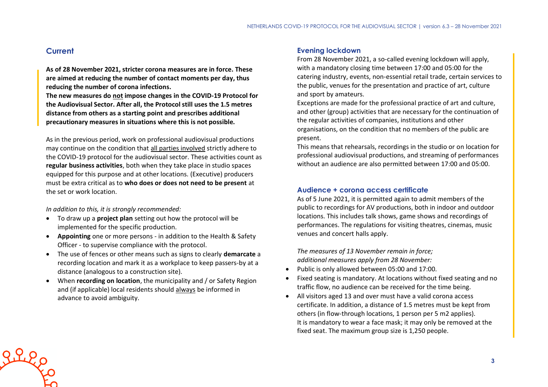## **Current**

Riles

**As of 28 November 2021, stricter corona measures are in force. These are aimed at reducing the number of contact moments per day, thus reducing the number of corona infections.**

**The new measures do not impose changes in the COVID-19 Protocol for the Audiovisual Sector. After all, the Protocol still uses the 1.5 metres distance from others as a starting point and prescribes additional precautionary measures in situations where this is not possible.**

As in the previous period, work on professional audiovisual productions may continue on the condition that all parties involved strictly adhere to the COVID-19 protocol for the audiovisual sector. These activities count as **regular business activities**, both when they take place in studio spaces equipped for this purpose and at other locations. (Executive) producers must be extra critical as to **who does or does not need to be present** at the set or work location.

*In addition to this, it is strongly recommended:*

- To draw up a **project plan** setting out how the protocol will be implemented for the specific production.
- **Appointing** one or more persons in addition to the Health & Safety Officer - to supervise compliance with the protocol.
- The use of fences or other means such as signs to clearly **demarcate** a recording location and mark it as a workplace to keep passers-by at a distance (analogous to a construction site).
- When **recording on location**, the municipality and / or Safety Region and (if applicable) local residents should always be informed in advance to avoid ambiguity.

#### **Evening lockdown**

From 28 November 2021, a so-called evening lockdown will apply, with a mandatory closing time between 17:00 and 05:00 for the catering industry, events, non-essential retail trade, certain services to the public, venues for the presentation and practice of art, culture and sport by amateurs.

Exceptions are made for the professional practice of art and culture, and other (group) activities that are necessary for the continuation of the regular activities of companies, institutions and other organisations, on the condition that no members of the public are present.

This means that rehearsals, recordings in the studio or on location for professional audiovisual productions, and streaming of performances without an audience are also permitted between 17:00 and 05:00.

#### **Audience + corona access certificate**

As of 5 June 2021, it is permitted again to admit members of the public to recordings for AV productions, both in indoor and outdoor locations. This includes talk shows, game shows and recordings of performances. The regulations for visiting theatres, cinemas, music venues and concert halls apply.

*The measures of 13 November remain in force; additional measures apply from 28 November:*

- Public is only allowed between 05:00 and 17:00.
- Fixed seating is mandatory. At locations without fixed seating and no traffic flow, no audience can be received for the time being.
- All visitors aged 13 and over must have a valid corona access certificate. In addition, a distance of 1.5 metres must be kept from others (in flow-through locations, 1 person per 5 m2 applies). It is mandatory to wear a face mask; it may only be removed at the fixed seat. The maximum group size is 1,250 people.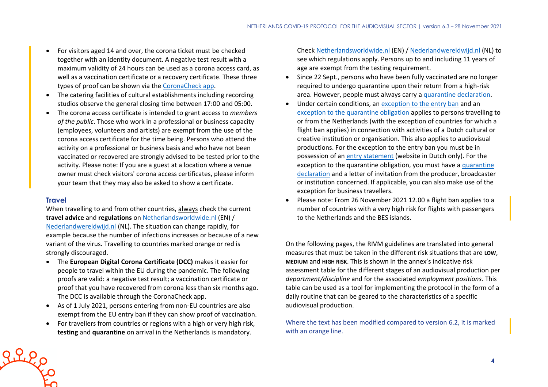- For visitors aged 14 and over, the corona ticket must be checked together with an identity document. A negative test result with a maximum validity of 24 hours can be used as a corona access card, as well as a vaccination certificate or a recovery certificate. These three types of proof can be shown via the [CoronaCheck app.](https://coronacheck.nl/en/)
- The catering facilities of cultural establishments including recording studios observe the general closing time between 17:00 and 05:00.
- The corona access certificate is intended to grant access to *members of the public*. Those who work in a professional or business capacity (employees, volunteers and artists) are exempt from the use of the corona access certificate for the time being. Persons who attend the activity on a professional or business basis and who have not been vaccinated or recovered are strongly advised to be tested prior to the activity. Please note: If you are a guest at a location where a venue owner must check visitors' corona access certificates, please inform your team that they may also be asked to show a certificate.

#### **Travel**

When travelling to and from other countries, always check the current **travel advice** and **regulations** on [Netherlandsworldwide.nl](https://www.netherlandsworldwide.nl/) (EN) / [Nederlandwereldwijd.nl](https://www.nederlandwereldwijd.nl/) (NL). The situation can change rapidly, for example because the number of infections increases or because of a new variant of the virus. Travelling to countries marked orange or red is strongly discouraged.

- The **European Digital Corona Certificate (DCC)** makes it easier for people to travel within the EU during the pandemic. The following proofs are valid: a negative test result; a vaccination certificate or proof that you have recovered from corona less than six months ago. The DCC is available through the CoronaCheck app.
- As of 1 July 2021, persons entering from non-EU countries are also exempt from the EU entry ban if they can show proof of vaccination.
- For travellers from countries or regions with a high or very high risk, **testing** and **quarantine** on arrival in the Netherlands is mandatory.

Check [Netherlandsworldwide.nl](https://www.netherlandsworldwide.nl/) (EN) / [Nederlandwereldwijd.nl](https://www.nederlandwereldwijd.nl/) (NL) to see which regulations apply. Persons up to and including 11 years of age are exempt from the testing requirement.

- Since 22 Sept., persons who have been fully vaccinated are no longer required to undergo quarantine upon their return from a high-risk area. However, people must always carry a [quarantine declaration.](https://www.rijksoverheid.nl/onderwerpen/coronavirus-covid-19/documenten/publicaties/2021/05/20/quarantaineverklaring)
- Under certain conditions, an [exception to the entry ban](https://www.government.nl/topics/coronavirus-covid-19/visiting-the-netherlands-from-abroad/exemptions-to-the-entry-ban/professionals-in-the-cultural-and-creative-sectors) and an [exception to the quarantine obligation](https://www.government.nl/topics/coronavirus-covid-19/visiting-the-netherlands-from-abroad/self-quarantine/exceptions-mandatory-quarantine) applies to persons travelling to or from the Netherlands (with the exception of countries for which a flight ban applies) in connection with activities of a Dutch cultural or creative institution or organisation. This also applies to audiovisual productions. For the exception to the entry ban you must be in possession of an [entry statement](https://www.inreisverklaringcultuur.nl/) (website in Dutch only). For the exception to the quarantine obligation, you must have a [quarantine](https://www.rijksoverheid.nl/onderwerpen/coronavirus-covid-19/documenten/publicaties/2021/05/20/quarantaineverklaring)  [declaration](https://www.rijksoverheid.nl/onderwerpen/coronavirus-covid-19/documenten/publicaties/2021/05/20/quarantaineverklaring) and a letter of invitation from the producer, broadcaster or institution concerned. If applicable, you can also make use of the exception for business travellers.
- Please note: From 26 November 2021 12.00 a flight ban applies to a number of countries with a very high risk for flights with passengers to the Netherlands and the BES islands.

On the following pages, the RIVM guidelines are translated into general measures that must be taken in the different risk situations that are **LOW**, **MEDIUM** and **HIGH RISK**. This is shown in the annex's indicative risk assessment table for the different stages of an audiovisual production per *department/discipline* and for the associated *employment positions*. This table can be used as a tool for implementing the protocol in the form of a daily routine that can be geared to the characteristics of a specific audiovisual production.

Where the text has been modified compared to version 6.2, it is marked with an orange line.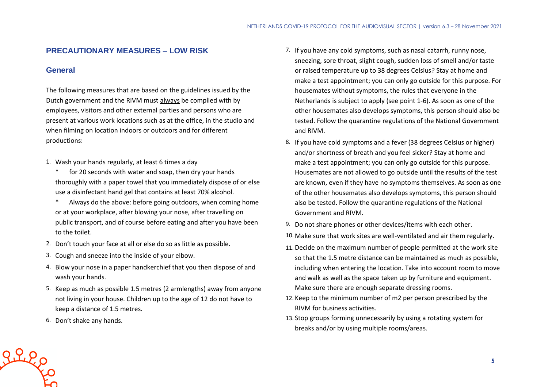## **PRECAUTIONARY MEASURES – LOW RISK**

#### **General**

The following measures that are based on the guidelines issued by the Dutch government and the RIVM must always be complied with by employees, visitors and other external parties and persons who are present at various work locations such as at the office, in the studio and when filming on location indoors or outdoors and for different productions:

- 1. Wash your hands regularly, at least 6 times a day
	- \* for 20 seconds with water and soap, then dry your hands thoroughly with a paper towel that you immediately dispose of or else use a disinfectant hand gel that contains at least 70% alcohol.
	- \* Always do the above: before going outdoors, when coming home or at your workplace, after blowing your nose, after travelling on public transport, and of course before eating and after you have been to the toilet.
- 2. Don't touch your face at all or else do so as little as possible.
- 3. Cough and sneeze into the inside of your elbow.
- 4. Blow your nose in a paper handkerchief that you then dispose of and wash your hands.
- 5. Keep as much as possible 1.5 metres (2 armlengths) away from anyone not living in your house. Children up to the age of 12 do not have to keep a distance of 1.5 metres.
- 6. Don't shake any hands.

Riego

- 7. If you have any cold symptoms, such as nasal catarrh, runny nose, sneezing, sore throat, slight cough, sudden loss of smell and/or taste or raised temperature up to 38 degrees Celsius? Stay at home and make a test appointment; you can only go outside for this purpose. For housemates without symptoms, the rules that everyone in the Netherlands is subject to apply (see point 1-6). As soon as one of the other housemates also develops symptoms, this person should also be tested. Follow the quarantine regulations of the National Government and RIVM.
- 8. If you have cold symptoms and a fever (38 degrees Celsius or higher) and/or shortness of breath and you feel sicker? Stay at home and make a test appointment; you can only go outside for this purpose. Housemates are not allowed to go outside until the results of the test are known, even if they have no symptoms themselves. As soon as one of the other housemates also develops symptoms, this person should also be tested. Follow the quarantine regulations of the National Government and RIVM.
- 9. Do not share phones or other devices/items with each other.
- 10. Make sure that work sites are well-ventilated and air them regularly.
- 11. Decide on the maximum number of people permitted at the work site so that the 1.5 metre distance can be maintained as much as possible, including when entering the location. Take into account room to move and walk as well as the space taken up by furniture and equipment. Make sure there are enough separate dressing rooms.
- 12. Keep to the minimum number of m2 per person prescribed by the RIVM for business activities.
- 13. Stop groups forming unnecessarily by using a rotating system for breaks and/or by using multiple rooms/areas.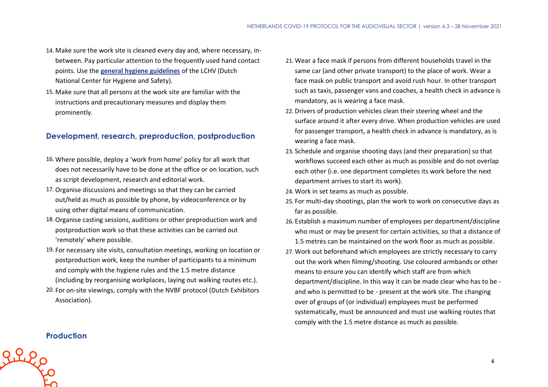- 14. Make sure the work site is cleaned every day and, where necessary, inbetween. Pay particular attention to the frequently used hand contact points. Use the **[general hygiene guidelines](https://www.rivm.nl/hygienerichtlijnen/algemeen)** of the LCHV (Dutch National Center for Hygiene and Safety).
- 15. Make sure that all persons at the work site are familiar with the instructions and precautionary measures and display them prominently.

# **Development, research, preproduction, postproduction**

- 16. Where possible, deploy a 'work from home' policy for all work that does not necessarily have to be done at the office or on location, such as script development, research and editorial work.
- 17.Organise discussions and meetings so that they can be carried out/held as much as possible by phone, by videoconference or by using other digital means of communication.
- 18.Organise casting sessions, auditions or other preproduction work and postproduction work so that these activities can be carried out 'remotely' where possible.
- 19. For necessary site visits, consultation meetings, working on location or postproduction work, keep the number of participants to a minimum and comply with the hygiene rules and the 1.5 metre distance (including by reorganising workplaces, laying out walking routes etc.).
- 20. For on-site viewings, comply with the NVBF protocol (Dutch Exhibitors Association).
- 21. Wear a face mask if persons from different households travel in the same car (and other private transport) to the place of work. Wear a face mask on public transport and avoid rush hour. In other transport such as taxis, passenger vans and coaches, a health check in advance is mandatory, as is wearing a face mask.
- 22. Drivers of production vehicles clean their steering wheel and the surface around it after every drive. When production vehicles are used for passenger transport, a health check in advance is mandatory, as is wearing a face mask.
- 23. Schedule and organise shooting days (and their preparation) so that workflows succeed each other as much as possible and do not overlap each other (i.e. one department completes its work before the next department arrives to start its work).
- 24. Work in set teams as much as possible.
- 25. For multi-day shootings, plan the work to work on consecutive days as far as possible.
- 26. Establish a maximum number of employees per department/discipline who must or may be present for certain activities, so that a distance of 1.5 metres can be maintained on the work floor as much as possible.
- 27. Work out beforehand which employees are strictly necessary to carry out the work when filming/shooting. Use coloured armbands or other means to ensure you can identify which staff are from which department/discipline. In this way it can be made clear who has to be and who is permitted to be - present at the work site. The changing over of groups of (or individual) employees must be performed systematically, must be announced and must use walking routes that comply with the 1.5 metre distance as much as possible.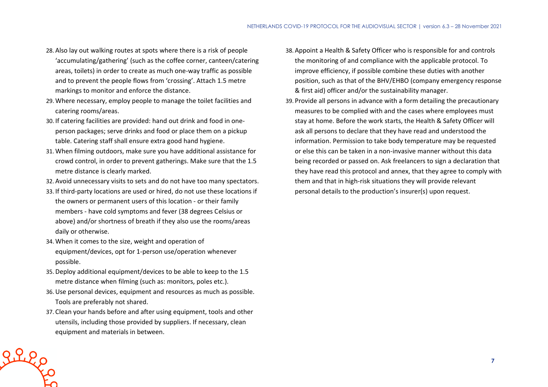- 28. Also lay out walking routes at spots where there is a risk of people 'accumulating/gathering' (such as the coffee corner, canteen/catering areas, toilets) in order to create as much one-way traffic as possible and to prevent the people flows from 'crossing'. Attach 1.5 metre markings to monitor and enforce the distance.
- 29. Where necessary, employ people to manage the toilet facilities and catering rooms/areas.
- 30. If catering facilities are provided: hand out drink and food in oneperson packages; serve drinks and food or place them on a pickup table. Catering staff shall ensure extra good hand hygiene.
- 31. When filming outdoors, make sure you have additional assistance for crowd control, in order to prevent gatherings. Make sure that the 1.5 metre distance is clearly marked.
- 32. Avoid unnecessary visits to sets and do not have too many spectators.
- 33. If third-party locations are used or hired, do not use these locations if the owners or permanent users of this location - or their family members - have cold symptoms and fever (38 degrees Celsius or above) and/or shortness of breath if they also use the rooms/areas daily or otherwise.
- 34. When it comes to the size, weight and operation of equipment/devices, opt for 1-person use/operation whenever possible.
- 35. Deploy additional equipment/devices to be able to keep to the 1.5 metre distance when filming (such as: monitors, poles etc.).
- 36.Use personal devices, equipment and resources as much as possible. Tools are preferably not shared.
- 37. Clean your hands before and after using equipment, tools and other utensils, including those provided by suppliers. If necessary, clean equipment and materials in between.

Riles

- 38. Appoint a Health & Safety Officer who is responsible for and controls the monitoring of and compliance with the applicable protocol. To improve efficiency, if possible combine these duties with another position, such as that of the BHV/EHBO (company emergency response & first aid) officer and/or the sustainability manager.
- 39. Provide all persons in advance with a form detailing the precautionary measures to be complied with and the cases where employees must stay at home. Before the work starts, the Health & Safety Officer will ask all persons to declare that they have read and understood the information. Permission to take body temperature may be requested or else this can be taken in a non-invasive manner without this data being recorded or passed on. Ask freelancers to sign a declaration that they have read this protocol and annex, that they agree to comply with them and that in high-risk situations they will provide relevant personal details to the production's insurer(s) upon request.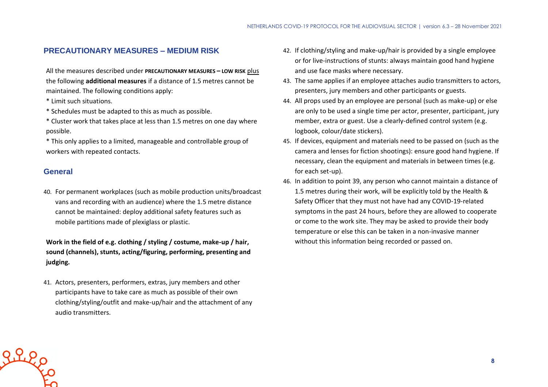#### **PRECAUTIONARY MEASURES – MEDIUM RISK**

All the measures described under **PRECAUTIONARY MEASURES – LOW RISK** plus the following **additional measures** if a distance of 1.5 metres cannot be maintained. The following conditions apply:

- \* Limit such situations.
- \* Schedules must be adapted to this as much as possible.
- \* Cluster work that takes place at less than 1.5 metres on one day where possible.
- \* This only applies to a limited, manageable and controllable group of workers with repeated contacts.

#### **General**

40. For permanent workplaces (such as mobile production units/broadcast vans and recording with an audience) where the 1.5 metre distance cannot be maintained: deploy additional safety features such as mobile partitions made of plexiglass or plastic.

**Work in the field of e.g. clothing / styling / costume, make-up / hair, sound (channels), stunts, acting/figuring, performing, presenting and judging.**

41. Actors, presenters, performers, extras, jury members and other participants have to take care as much as possible of their own clothing/styling/outfit and make-up/hair and the attachment of any audio transmitters.

- 42. If clothing/styling and make-up/hair is provided by a single employee or for live-instructions of stunts: always maintain good hand hygiene and use face masks where necessary.
- 43. The same applies if an employee attaches audio transmitters to actors, presenters, jury members and other participants or guests.
- 44. All props used by an employee are personal (such as make-up) or else are only to be used a single time per actor, presenter, participant, jury member, extra or guest. Use a clearly-defined control system (e.g. logbook, colour/date stickers).
- 45. If devices, equipment and materials need to be passed on (such as the camera and lenses for fiction shootings): ensure good hand hygiene. If necessary, clean the equipment and materials in between times (e.g. for each set-up).
- 46. In addition to point 39, any person who cannot maintain a distance of 1.5 metres during their work, will be explicitly told by the Health & Safety Officer that they must not have had any COVID-19-related symptoms in the past 24 hours, before they are allowed to cooperate or come to the work site. They may be asked to provide their body temperature or else this can be taken in a non-invasive manner without this information being recorded or passed on.